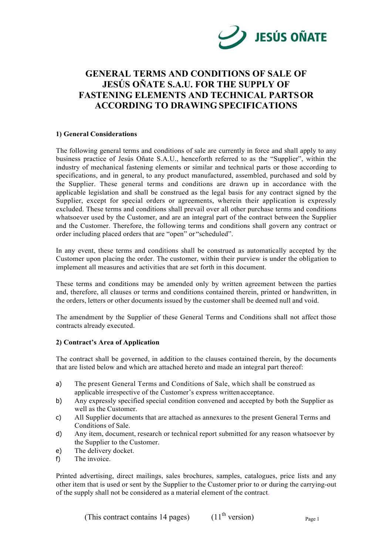

# **GENERAL TERMS AND CONDITIONS OF SALE OF JESÚS OÑATE S.A.U. FOR THE SUPPLY OF FASTENING ELEMENTS AND TECHNICAL PARTS OR ACCORDING TO DRAWING SPECIFICATIONS**

# **1) General Considerations**

The following general terms and conditions of sale are currently in force and shall apply to any business practice of Jesús Oñate S.A.U., henceforth referred to as the "Supplier", within the industry of mechanical fastening elements or similar and technical parts or those according to specifications, and in general, to any product manufactured, assembled, purchased and sold by the Supplier. These general terms and conditions are drawn up in accordance with the applicable legislation and shall be construed as the legal basis for any contract signed by the Supplier, except for special orders or agreements, wherein their application is expressly excluded. These terms and conditions shall prevail over all other purchase terms and conditions whatsoever used by the Customer, and are an integral part of the contract between the Supplier and the Customer. Therefore, the following terms and conditions shall govern any contract or order including placed orders that are "open" or "scheduled".

In any event, these terms and conditions shall be construed as automatically accepted by the Customer upon placing the order. The customer, within their purview is under the obligation to implement all measures and activities that are set forth in this document.

These terms and conditions may be amended only by written agreement between the parties and, therefore, all clauses or terms and conditions contained therein, printed or handwritten, in the orders, letters or other documents issued by the customer shall be deemed null and void.

The amendment by the Supplier of these General Terms and Conditions shall not affect those contracts already executed.

# **2) Contract's Area of Application**

The contract shall be governed, in addition to the clauses contained therein, by the documents that are listed below and which are attached hereto and made an integral part thereof:

- a) The present General Terms and Conditions of Sale, which shall be construed as applicable irrespective of the Customer's express written acceptance.
- b) Any expressly specified special condition convened and accepted by both the Supplier as well as the Customer.
- c) All Supplier documents that are attached as annexures to the present General Terms and Conditions of Sale.
- d) Any item, document, research or technical report submitted for any reason whatsoever by the Supplier to the Customer.
- e) The delivery docket.
- f) The invoice.

Printed advertising, direct mailings, sales brochures, samples, catalogues, price lists and any other item that is used or sent by the Supplier to the Customer prior to or during the carrying-out of the supply shall not be considered as a material element of the contract.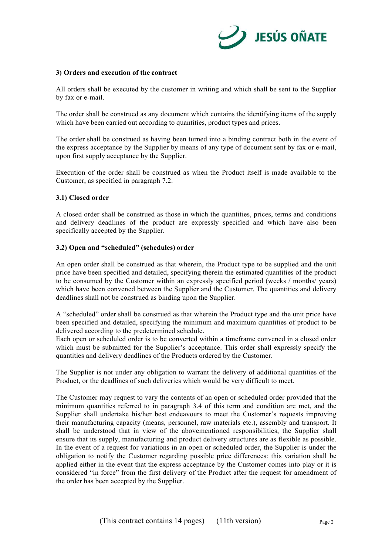

## **3) Orders and execution of the contract**

All orders shall be executed by the customer in writing and which shall be sent to the Supplier by fax or e-mail.

The order shall be construed as any document which contains the identifying items of the supply which have been carried out according to quantities, product types and prices.

The order shall be construed as having been turned into a binding contract both in the event of the express acceptance by the Supplier by means of any type of document sent by fax or e-mail, upon first supply acceptance by the Supplier.

Execution of the order shall be construed as when the Product itself is made available to the Customer, as specified in paragraph 7.2.

## **3.1) Closed order**

A closed order shall be construed as those in which the quantities, prices, terms and conditions and delivery deadlines of the product are expressly specified and which have also been specifically accepted by the Supplier.

## **3.2) Open and "scheduled" (schedules) order**

An open order shall be construed as that wherein, the Product type to be supplied and the unit price have been specified and detailed, specifying therein the estimated quantities of the product to be consumed by the Customer within an expressly specified period (weeks / months/ years) which have been convened between the Supplier and the Customer. The quantities and delivery deadlines shall not be construed as binding upon the Supplier.

A "scheduled" order shall be construed as that wherein the Product type and the unit price have been specified and detailed, specifying the minimum and maximum quantities of product to be delivered according to the predetermined schedule.

Each open or scheduled order is to be converted within a timeframe convened in a closed order which must be submitted for the Supplier's acceptance. This order shall expressly specify the quantities and delivery deadlines of the Products ordered by the Customer.

The Supplier is not under any obligation to warrant the delivery of additional quantities of the Product, or the deadlines of such deliveries which would be very difficult to meet.

The Customer may request to vary the contents of an open or scheduled order provided that the minimum quantities referred to in paragraph 3.4 of this term and condition are met, and the Supplier shall undertake his/her best endeavours to meet the Customer's requests improving their manufacturing capacity (means, personnel, raw materials etc.), assembly and transport. It shall be understood that in view of the abovementioned responsibilities, the Supplier shall ensure that its supply, manufacturing and product delivery structures are as flexible as possible. In the event of a request for variations in an open or scheduled order, the Supplier is under the obligation to notify the Customer regarding possible price differences: this variation shall be applied either in the event that the express acceptance by the Customer comes into play or it is considered "in force" from the first delivery of the Product after the request for amendment of the order has been accepted by the Supplier.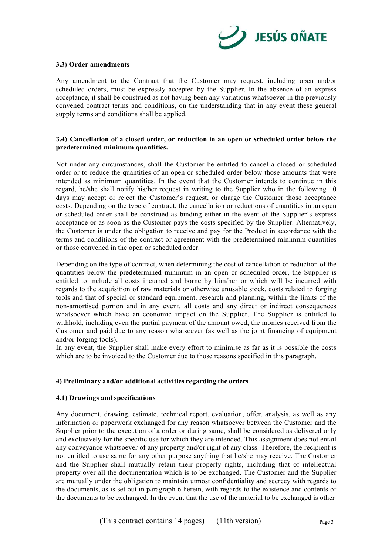

## **3.3) Order amendments**

Any amendment to the Contract that the Customer may request, including open and/or scheduled orders, must be expressly accepted by the Supplier. In the absence of an express acceptance, it shall be construed as not having been any variations whatsoever in the previously convened contract terms and conditions, on the understanding that in any event these general supply terms and conditions shall be applied.

# **3.4) Cancellation of a closed order, or reduction in an open or scheduled order below the predetermined minimum quantities.**

Not under any circumstances, shall the Customer be entitled to cancel a closed or scheduled order or to reduce the quantities of an open or scheduled order below those amounts that were intended as minimum quantities. In the event that the Customer intends to continue in this regard, he/she shall notify his/her request in writing to the Supplier who in the following 10 days may accept or reject the Customer's request, or charge the Customer those acceptance costs. Depending on the type of contract, the cancellation or reductions of quantities in an open or scheduled order shall be construed as binding either in the event of the Supplier's express acceptance or as soon as the Customer pays the costs specified by the Supplier. Alternatively, the Customer is under the obligation to receive and pay for the Product in accordance with the terms and conditions of the contract or agreement with the predetermined minimum quantities or those convened in the open or scheduled order.

Depending on the type of contract, when determining the cost of cancellation or reduction of the quantities below the predetermined minimum in an open or scheduled order, the Supplier is entitled to include all costs incurred and borne by him/her or which will be incurred with regards to the acquisition of raw materials or otherwise unusable stock, costs related to forging tools and that of special or standard equipment, research and planning, within the limits of the non-amortised portion and in any event, all costs and any direct or indirect consequences whatsoever which have an economic impact on the Supplier. The Supplier is entitled to withhold, including even the partial payment of the amount owed, the monies received from the Customer and paid due to any reason whatsoever (as well as the joint financing of equipment and/or forging tools).

In any event, the Supplier shall make every effort to minimise as far as it is possible the costs which are to be invoiced to the Customer due to those reasons specified in this paragraph.

# **4) Preliminary and/or additional activities regarding the orders**

#### **4.1) Drawings and specifications**

Any document, drawing, estimate, technical report, evaluation, offer, analysis, as well as any information or paperwork exchanged for any reason whatsoever between the Customer and the Supplier prior to the execution of a order or during same, shall be considered as delivered only and exclusively for the specific use for which they are intended. This assignment does not entail any conveyance whatsoever of any property and/or right of any class. Therefore, the recipient is not entitled to use same for any other purpose anything that he/she may receive. The Customer and the Supplier shall mutually retain their property rights, including that of intellectual property over all the documentation which is to be exchanged. The Customer and the Supplier are mutually under the obligation to maintain utmost confidentiality and secrecy with regards to the documents, as is set out in paragraph 6 herein, with regards to the existence and contents of the documents to be exchanged. In the event that the use of the material to be exchanged is other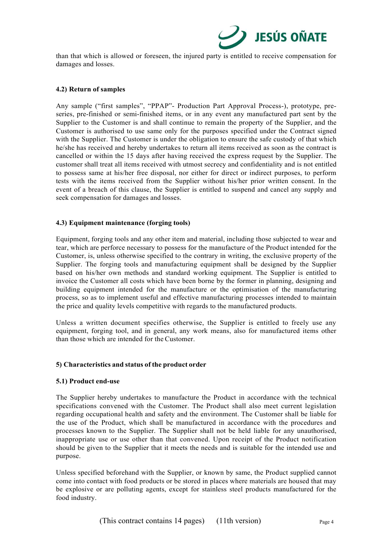

than that which is allowed or foreseen, the injured party is entitled to receive compensation for damages and losses.

## **4.2) Return of samples**

Any sample ("first samples", "PPAP"- Production Part Approval Process-), prototype, preseries, pre-finished or semi-finished items, or in any event any manufactured part sent by the Supplier to the Customer is and shall continue to remain the property of the Supplier, and the Customer is authorised to use same only for the purposes specified under the Contract signed with the Supplier. The Customer is under the obligation to ensure the safe custody of that which he/she has received and hereby undertakes to return all items received as soon as the contract is cancelled or within the 15 days after having received the express request by the Supplier. The customer shall treat all items received with utmost secrecy and confidentiality and is not entitled to possess same at his/her free disposal, nor either for direct or indirect purposes, to perform tests with the items received from the Supplier without his/her prior written consent. In the event of a breach of this clause, the Supplier is entitled to suspend and cancel any supply and seek compensation for damages and losses.

#### **4.3) Equipment maintenance (forging tools)**

Equipment, forging tools and any other item and material, including those subjected to wear and tear, which are perforce necessary to possess for the manufacture of the Product intended for the Customer, is, unless otherwise specified to the contrary in writing, the exclusive property of the Supplier. The forging tools and manufacturing equipment shall be designed by the Supplier based on his/her own methods and standard working equipment. The Supplier is entitled to invoice the Customer all costs which have been borne by the former in planning, designing and building equipment intended for the manufacture or the optimisation of the manufacturing process, so as to implement useful and effective manufacturing processes intended to maintain the price and quality levels competitive with regards to the manufactured products.

Unless a written document specifies otherwise, the Supplier is entitled to freely use any equipment, forging tool, and in general, any work means, also for manufactured items other than those which are intended for the Customer.

#### **5) Characteristics and status of the product order**

#### **5.1) Product end-use**

The Supplier hereby undertakes to manufacture the Product in accordance with the technical specifications convened with the Customer. The Product shall also meet current legislation regarding occupational health and safety and the environment. The Customer shall be liable for the use of the Product, which shall be manufactured in accordance with the procedures and processes known to the Supplier. The Supplier shall not be held liable for any unauthorised, inappropriate use or use other than that convened. Upon receipt of the Product notification should be given to the Supplier that it meets the needs and is suitable for the intended use and purpose.

Unless specified beforehand with the Supplier, or known by same, the Product supplied cannot come into contact with food products or be stored in places where materials are housed that may be explosive or are polluting agents, except for stainless steel products manufactured for the food industry.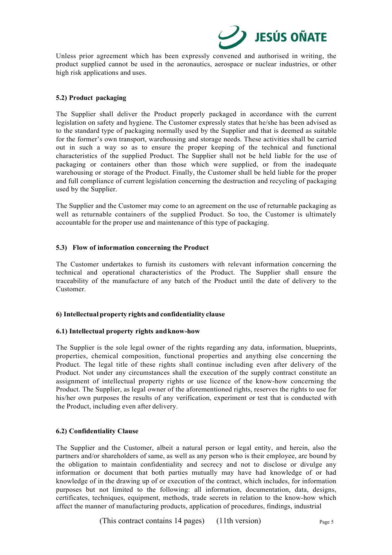

Unless prior agreement which has been expressly convened and authorised in writing, the product supplied cannot be used in the aeronautics, aerospace or nuclear industries, or other high risk applications and uses.

## **5.2) Product packaging**

The Supplier shall deliver the Product properly packaged in accordance with the current legislation on safety and hygiene. The Customer expressly states that he/she has been advised as to the standard type of packaging normally used by the Supplier and that is deemed as suitable for the former's own transport, warehousing and storage needs. These activities shall be carried out in such a way so as to ensure the proper keeping of the technical and functional characteristics of the supplied Product. The Supplier shall not be held liable for the use of packaging or containers other than those which were supplied, or from the inadequate warehousing or storage of the Product. Finally, the Customer shall be held liable for the proper and full compliance of current legislation concerning the destruction and recycling of packaging used by the Supplier.

The Supplier and the Customer may come to an agreement on the use of returnable packaging as well as returnable containers of the supplied Product. So too, the Customer is ultimately accountable for the proper use and maintenance of this type of packaging.

# **5.3) Flow of information concerning the Product**

The Customer undertakes to furnish its customers with relevant information concerning the technical and operational characteristics of the Product. The Supplier shall ensure the traceability of the manufacture of any batch of the Product until the date of delivery to the Customer.

# **6) Intellectual property rights and confidentiality clause**

# **6.1) Intellectual property rights and know-how**

The Supplier is the sole legal owner of the rights regarding any data, information, blueprints, properties, chemical composition, functional properties and anything else concerning the Product. The legal title of these rights shall continue including even after delivery of the Product. Not under any circumstances shall the execution of the supply contract constitute an assignment of intellectual property rights or use licence of the know-how concerning the Product. The Supplier, as legal owner of the aforementioned rights, reserves the rights to use for his/her own purposes the results of any verification, experiment or test that is conducted with the Product, including even after delivery.

# **6.2) Confidentiality Clause**

The Supplier and the Customer, albeit a natural person or legal entity, and herein, also the partners and/or shareholders of same, as well as any person who is their employee, are bound by the obligation to maintain confidentiality and secrecy and not to disclose or divulge any information or document that both parties mutually may have had knowledge of or had knowledge of in the drawing up of or execution of the contract, which includes, for information purposes but not limited to the following: all information, documentation, data, designs, certificates, techniques, equipment, methods, trade secrets in relation to the know-how which affect the manner of manufacturing products, application of procedures, findings, industrial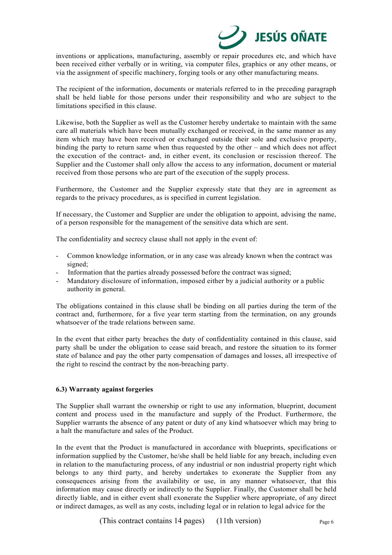

inventions or applications, manufacturing, assembly or repair procedures etc, and which have been received either verbally or in writing, via computer files, graphics or any other means, or via the assignment of specific machinery, forging tools or any other manufacturing means.

The recipient of the information, documents or materials referred to in the preceding paragraph shall be held liable for those persons under their responsibility and who are subject to the limitations specified in this clause.

Likewise, both the Supplier as well as the Customer hereby undertake to maintain with the same care all materials which have been mutually exchanged or received, in the same manner as any item which may have been received or exchanged outside their sole and exclusive property, binding the party to return same when thus requested by the other – and which does not affect the execution of the contract- and, in either event, its conclusion or rescission thereof. The Supplier and the Customer shall only allow the access to any information, document or material received from those persons who are part of the execution of the supply process.

Furthermore, the Customer and the Supplier expressly state that they are in agreement as regards to the privacy procedures, as is specified in current legislation.

If necessary, the Customer and Supplier are under the obligation to appoint, advising the name, of a person responsible for the management of the sensitive data which are sent.

The confidentiality and secrecy clause shall not apply in the event of:

- Common knowledge information, or in any case was already known when the contract was signed;
- Information that the parties already possessed before the contract was signed;
- Mandatory disclosure of information, imposed either by a judicial authority or a public authority in general.

The obligations contained in this clause shall be binding on all parties during the term of the contract and, furthermore, for a five year term starting from the termination, on any grounds whatsoever of the trade relations between same.

In the event that either party breaches the duty of confidentiality contained in this clause, said party shall be under the obligation to cease said breach, and restore the situation to its former state of balance and pay the other party compensation of damages and losses, all irrespective of the right to rescind the contract by the non-breaching party.

# **6.3) Warranty against forgeries**

The Supplier shall warrant the ownership or right to use any information, blueprint, document content and process used in the manufacture and supply of the Product. Furthermore, the Supplier warrants the absence of any patent or duty of any kind whatsoever which may bring to a halt the manufacture and sales of the Product.

In the event that the Product is manufactured in accordance with blueprints, specifications or information supplied by the Customer, he/she shall be held liable for any breach, including even in relation to the manufacturing process, of any industrial or non industrial property right which belongs to any third party, and hereby undertakes to exonerate the Supplier from any consequences arising from the availability or use, in any manner whatsoever, that this information may cause directly or indirectly to the Supplier. Finally, the Customer shall be held directly liable, and in either event shall exonerate the Supplier where appropriate, of any direct or indirect damages, as well as any costs, including legal or in relation to legal advice for the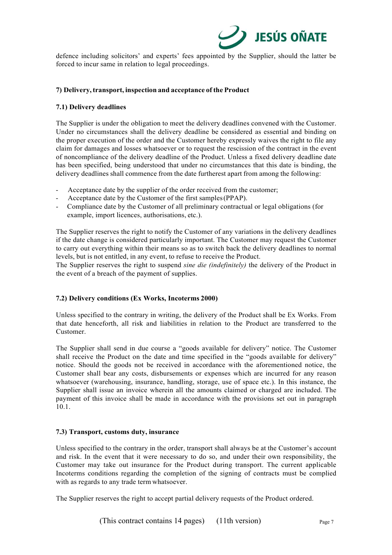

defence including solicitors' and experts' fees appointed by the Supplier, should the latter be forced to incur same in relation to legal proceedings.

## **7) Delivery, transport, inspection and acceptance of the Product**

## **7.1) Delivery deadlines**

The Supplier is under the obligation to meet the delivery deadlines convened with the Customer. Under no circumstances shall the delivery deadline be considered as essential and binding on the proper execution of the order and the Customer hereby expressly waives the right to file any claim for damages and losses whatsoever or to request the rescission of the contract in the event of noncompliance of the delivery deadline of the Product. Unless a fixed delivery deadline date has been specified, being understood that under no circumstances that this date is binding, the delivery deadlines shall commence from the date furtherest apart from among the following:

- Acceptance date by the supplier of the order received from the customer;
- Acceptance date by the Customer of the first samples (PPAP).
- Compliance date by the Customer of all preliminary contractual or legal obligations (for example, import licences, authorisations, etc.).

The Supplier reserves the right to notify the Customer of any variations in the delivery deadlines if the date change is considered particularly important. The Customer may request the Customer to carry out everything within their means so as to switch back the delivery deadlines to normal levels, but is not entitled, in any event, to refuse to receive the Product.

The Supplier reserves the right to suspend *sine die (indefinitely)* the delivery of the Product in the event of a breach of the payment of supplies.

# **7.2) Delivery conditions (Ex Works, Incoterms 2000)**

Unless specified to the contrary in writing, the delivery of the Product shall be Ex Works. From that date henceforth, all risk and liabilities in relation to the Product are transferred to the Customer.

The Supplier shall send in due course a "goods available for delivery" notice. The Customer shall receive the Product on the date and time specified in the "goods available for delivery" notice. Should the goods not be received in accordance with the aforementioned notice, the Customer shall bear any costs, disbursements or expenses which are incurred for any reason whatsoever (warehousing, insurance, handling, storage, use of space etc.). In this instance, the Supplier shall issue an invoice wherein all the amounts claimed or charged are included. The payment of this invoice shall be made in accordance with the provisions set out in paragraph 10.1.

#### **7.3) Transport, customs duty, insurance**

Unless specified to the contrary in the order, transport shall always be at the Customer's account and risk. In the event that it were necessary to do so, and under their own responsibility, the Customer may take out insurance for the Product during transport. The current applicable Incoterms conditions regarding the completion of the signing of contracts must be complied with as regards to any trade term whatsoever.

The Supplier reserves the right to accept partial delivery requests of the Product ordered.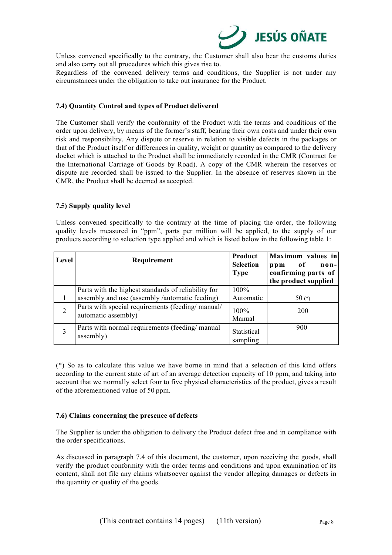

Unless convened specifically to the contrary, the Customer shall also bear the customs duties and also carry out all procedures which this gives rise to.

Regardless of the convened delivery terms and conditions, the Supplier is not under any circumstances under the obligation to take out insurance for the Product.

## **7.4) Quantity Control and types of Product delivered**

The Customer shall verify the conformity of the Product with the terms and conditions of the order upon delivery, by means of the former's staff, bearing their own costs and under their own risk and responsibility. Any dispute or reserve in relation to visible defects in the packages or that of the Product itself or differences in quality, weight or quantity as compared to the delivery docket which is attached to the Product shall be immediately recorded in the CMR (Contract for the International Carriage of Goods by Road). A copy of the CMR wherein the reserves or dispute are recorded shall be issued to the Supplier. In the absence of reserves shown in the CMR, the Product shall be deemed as accepted.

## **7.5) Supply quality level**

Unless convened specifically to the contrary at the time of placing the order, the following quality levels measured in "ppm", parts per million will be applied, to the supply of our products according to selection type applied and which is listed below in the following table 1:

| Level | Requirement                                                             | <b>Product</b><br><b>Selection</b> | Maximum values in<br>0f<br>$\mathbf{n}$ on-<br>ppm |
|-------|-------------------------------------------------------------------------|------------------------------------|----------------------------------------------------|
|       |                                                                         | <b>Type</b>                        | confirming parts of<br>the product supplied        |
|       | Parts with the highest standards of reliability for                     | $100\%$                            |                                                    |
|       | assembly and use (assembly /automatic feeding)                          | Automatic                          | 50 $(*)$                                           |
| 2     | Parts with special requirements (feeding/manual/<br>automatic assembly) | $100\%$                            | 200                                                |
|       |                                                                         | Manual                             |                                                    |
| 3     | Parts with normal requirements (feeding/manual<br>assembly)             | Statistical<br>sampling            | 900                                                |

(\*) So as to calculate this value we have borne in mind that a selection of this kind offers according to the current state of art of an average detection capacity of 10 ppm, and taking into account that we normally select four to five physical characteristics of the product, gives a result of the aforementioned value of 50 ppm.

#### **7.6) Claims concerning the presence of defects**

The Supplier is under the obligation to delivery the Product defect free and in compliance with the order specifications.

As discussed in paragraph 7.4 of this document, the customer, upon receiving the goods, shall verify the product conformity with the order terms and conditions and upon examination of its content, shall not file any claims whatsoever against the vendor alleging damages or defects in the quantity or quality of the goods.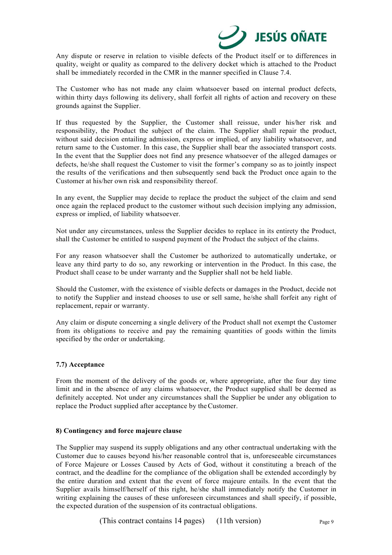

Any dispute or reserve in relation to visible defects of the Product itself or to differences in quality, weight or quality as compared to the delivery docket which is attached to the Product shall be immediately recorded in the CMR in the manner specified in Clause 7.4.

The Customer who has not made any claim whatsoever based on internal product defects, within thirty days following its delivery, shall forfeit all rights of action and recovery on these grounds against the Supplier.

If thus requested by the Supplier, the Customer shall reissue, under his/her risk and responsibility, the Product the subject of the claim. The Supplier shall repair the product, without said decision entailing admission, express or implied, of any liability whatsoever, and return same to the Customer. In this case, the Supplier shall bear the associated transport costs. In the event that the Supplier does not find any presence whatsoever of the alleged damages or defects, he/she shall request the Customer to visit the former's company so as to jointly inspect the results of the verifications and then subsequently send back the Product once again to the Customer at his/her own risk and responsibility thereof.

In any event, the Supplier may decide to replace the product the subject of the claim and send once again the replaced product to the customer without such decision implying any admission, express or implied, of liability whatsoever.

Not under any circumstances, unless the Supplier decides to replace in its entirety the Product, shall the Customer be entitled to suspend payment of the Product the subject of the claims.

For any reason whatsoever shall the Customer be authorized to automatically undertake, or leave any third party to do so, any reworking or intervention in the Product. In this case, the Product shall cease to be under warranty and the Supplier shall not be held liable.

Should the Customer, with the existence of visible defects or damages in the Product, decide not to notify the Supplier and instead chooses to use or sell same, he/she shall forfeit any right of replacement, repair or warranty.

Any claim or dispute concerning a single delivery of the Product shall not exempt the Customer from its obligations to receive and pay the remaining quantities of goods within the limits specified by the order or undertaking.

#### **7.7) Acceptance**

From the moment of the delivery of the goods or, where appropriate, after the four day time limit and in the absence of any claims whatsoever, the Product supplied shall be deemed as definitely accepted. Not under any circumstances shall the Supplier be under any obligation to replace the Product supplied after acceptance by the Customer.

#### **8) Contingency and force majeure clause**

The Supplier may suspend its supply obligations and any other contractual undertaking with the Customer due to causes beyond his/her reasonable control that is, unforeseeable circumstances of Force Majeure or Losses Caused by Acts of God, without it constituting a breach of the contract, and the deadline for the compliance of the obligation shall be extended accordingly by the entire duration and extent that the event of force majeure entails. In the event that the Supplier avails himself/herself of this right, he/she shall immediately notify the Customer in writing explaining the causes of these unforeseen circumstances and shall specify, if possible, the expected duration of the suspension of its contractual obligations.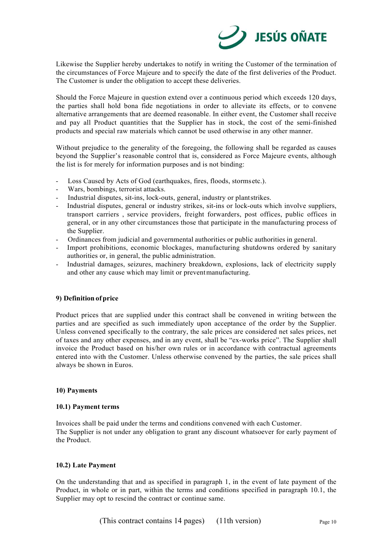

Likewise the Supplier hereby undertakes to notify in writing the Customer of the termination of the circumstances of Force Majeure and to specify the date of the first deliveries of the Product. The Customer is under the obligation to accept these deliveries.

Should the Force Majeure in question extend over a continuous period which exceeds 120 days, the parties shall hold bona fide negotiations in order to alleviate its effects, or to convene alternative arrangements that are deemed reasonable. In either event, the Customer shall receive and pay all Product quantities that the Supplier has in stock, the cost of the semi-finished products and special raw materials which cannot be used otherwise in any other manner.

Without prejudice to the generality of the foregoing, the following shall be regarded as causes beyond the Supplier's reasonable control that is, considered as Force Majeure events, although the list is for merely for information purposes and is not binding:

- Loss Caused by Acts of God (earthquakes, fires, floods, storms etc.).
- Wars, bombings, terrorist attacks.
- Industrial disputes, sit-ins, lock-outs, general, industry or plant strikes.
- Industrial disputes, general or industry strikes, sit-ins or lock-outs which involve suppliers, transport carriers , service providers, freight forwarders, post offices, public offices in general, or in any other circumstances those that participate in the manufacturing process of the Supplier.
- Ordinances from judicial and governmental authorities or public authorities in general.
- Import prohibitions, economic blockages, manufacturing shutdowns ordered by sanitary authorities or, in general, the public administration.
- Industrial damages, seizures, machinery breakdown, explosions, lack of electricity supply and other any cause which may limit or prevent manufacturing.

# **9) Definition of price**

Product prices that are supplied under this contract shall be convened in writing between the parties and are specified as such immediately upon acceptance of the order by the Supplier. Unless convened specifically to the contrary, the sale prices are considered net sales prices, net of taxes and any other expenses, and in any event, shall be "ex-works price". The Supplier shall invoice the Product based on his/her own rules or in accordance with contractual agreements entered into with the Customer. Unless otherwise convened by the parties, the sale prices shall always be shown in Euros.

#### **10) Payments**

#### **10.1) Payment terms**

Invoices shall be paid under the terms and conditions convened with each Customer. The Supplier is not under any obligation to grant any discount whatsoever for early payment of the Product.

## **10.2) Late Payment**

On the understanding that and as specified in paragraph 1, in the event of late payment of the Product, in whole or in part, within the terms and conditions specified in paragraph 10.1, the Supplier may opt to rescind the contract or continue same.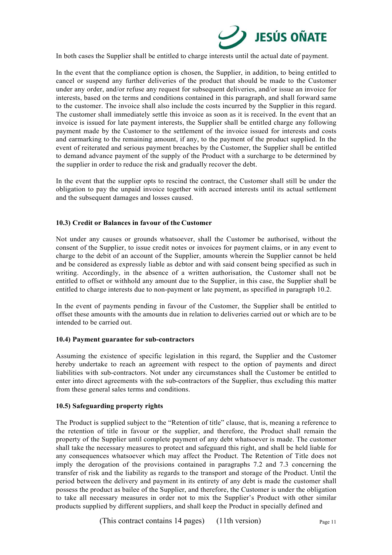

In both cases the Supplier shall be entitled to charge interests until the actual date of payment.

In the event that the compliance option is chosen, the Supplier, in addition, to being entitled to cancel or suspend any further deliveries of the product that should be made to the Customer under any order, and/or refuse any request for subsequent deliveries, and/or issue an invoice for interests, based on the terms and conditions contained in this paragraph, and shall forward same to the customer. The invoice shall also include the costs incurred by the Supplier in this regard. The customer shall immediately settle this invoice as soon as it is received. In the event that an invoice is issued for late payment interests, the Supplier shall be entitled charge any following payment made by the Customer to the settlement of the invoice issued for interests and costs and earmarking to the remaining amount, if any, to the payment of the product supplied. In the event of reiterated and serious payment breaches by the Customer, the Supplier shall be entitled to demand advance payment of the supply of the Product with a surcharge to be determined by the supplier in order to reduce the risk and gradually recover the debt.

In the event that the supplier opts to rescind the contract, the Customer shall still be under the obligation to pay the unpaid invoice together with accrued interests until its actual settlement and the subsequent damages and losses caused.

# **10.3) Credit or Balances in favour of the Customer**

Not under any causes or grounds whatsoever, shall the Customer be authorised, without the consent of the Supplier, to issue credit notes or invoices for payment claims, or in any event to charge to the debit of an account of the Supplier, amounts wherein the Supplier cannot be held and be considered as expressly liable as debtor and with said consent being specified as such in writing. Accordingly, in the absence of a written authorisation, the Customer shall not be entitled to offset or withhold any amount due to the Supplier, in this case, the Supplier shall be entitled to charge interests due to non-payment or late payment, as specified in paragraph 10.2.

In the event of payments pending in favour of the Customer, the Supplier shall be entitled to offset these amounts with the amounts due in relation to deliveries carried out or which are to be intended to be carried out.

#### **10.4) Payment guarantee for sub-contractors**

Assuming the existence of specific legislation in this regard, the Supplier and the Customer hereby undertake to reach an agreement with respect to the option of payments and direct liabilities with sub-contractors. Not under any circumstances shall the Customer be entitled to enter into direct agreements with the sub-contractors of the Supplier, thus excluding this matter from these general sales terms and conditions.

# **10.5) Safeguarding property rights**

The Product is supplied subject to the "Retention of title" clause, that is, meaning a reference to the retention of title in favour or the supplier, and therefore, the Product shall remain the property of the Supplier until complete payment of any debt whatsoever is made. The customer shall take the necessary measures to protect and safeguard this right, and shall be held liable for any consequences whatsoever which may affect the Product. The Retention of Title does not imply the derogation of the provisions contained in paragraphs 7.2 and 7.3 concerning the transfer of risk and the liability as regards to the transport and storage of the Product. Until the period between the delivery and payment in its entirety of any debt is made the customer shall possess the product as bailee of the Supplier, and therefore, the Customer is under the obligation to take all necessary measures in order not to mix the Supplier's Product with other similar products supplied by different suppliers, and shall keep the Product in specially defined and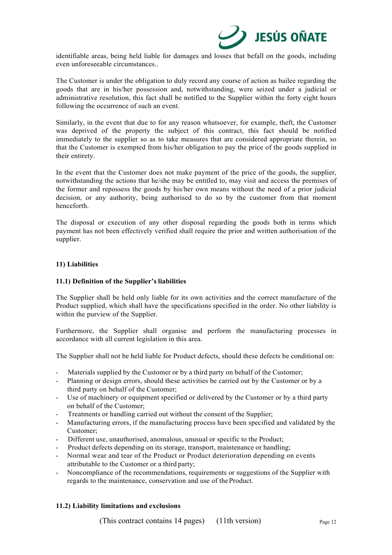

identifiable areas, being held liable for damages and losses that befall on the goods, including even unforeseeable circumstances..

The Customer is under the obligation to duly record any course of action as bailee regarding the goods that are in his/her possession and, notwithstanding, were seized under a judicial or administrative resolution, this fact shall be notified to the Supplier within the forty eight hours following the occurrence of such an event.

Similarly, in the event that due to for any reason whatsoever, for example, theft, the Customer was deprived of the property the subject of this contract, this fact should be notified immediately to the supplier so as to take measures that are considered appropriate therein, so that the Customer is exempted from his/her obligation to pay the price of the goods supplied in their entirety.

In the event that the Customer does not make payment of the price of the goods, the supplier, notwithstanding the actions that he/she may be entitled to, may visit and access the premises of the former and repossess the goods by his/her own means without the need of a prior judicial decision, or any authority, being authorised to do so by the customer from that moment henceforth.

The disposal or execution of any other disposal regarding the goods both in terms which payment has not been effectively verified shall require the prior and written authorisation of the supplier.

## **11) Liabilities**

## **11.1) Definition of the Supplier's liabilities**

The Supplier shall be held only liable for its own activities and the correct manufacture of the Product supplied, which shall have the specifications specified in the order. No other liability is within the purview of the Supplier.

Furthermore, the Supplier shall organise and perform the manufacturing processes in accordance with all current legislation in this area.

The Supplier shall not be held liable for Product defects, should these defects be conditional on:

- Materials supplied by the Customer or by a third party on behalf of the Customer;
- Planning or design errors, should these activities be carried out by the Customer or by a third party on behalf of the Customer;
- Use of machinery or equipment specified or delivered by the Customer or by a third party on behalf of the Customer;
- Treatments or handling carried out without the consent of the Supplier;
- Manufacturing errors, if the manufacturing process have been specified and validated by the Customer;
- Different use, unauthorised, anomalous, unusual or specific to the Product;
- Product defects depending on its storage, transport, maintenance or handling;
- Normal wear and tear of the Product or Product deterioration depending on events attributable to the Customer or a third party;
- Noncompliance of the recommendations, requirements or suggestions of the Supplier with regards to the maintenance, conservation and use of the Product.

# **11.2) Liability limitations and exclusions**

(This contract contains 14 pages) (11th version) Page 12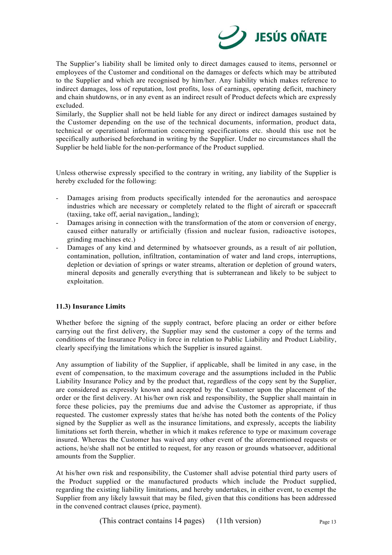

The Supplier's liability shall be limited only to direct damages caused to items, personnel or employees of the Customer and conditional on the damages or defects which may be attributed to the Supplier and which are recognised by him/her. Any liability which makes reference to indirect damages, loss of reputation, lost profits, loss of earnings, operating deficit, machinery and chain shutdowns, or in any event as an indirect result of Product defects which are expressly excluded.

Similarly, the Supplier shall not be held liable for any direct or indirect damages sustained by the Customer depending on the use of the technical documents, information, product data, technical or operational information concerning specifications etc. should this use not be specifically authorised beforehand in writing by the Supplier. Under no circumstances shall the Supplier be held liable for the non-performance of the Product supplied.

Unless otherwise expressly specified to the contrary in writing, any liability of the Supplier is hereby excluded for the following:

- Damages arising from products specifically intended for the aeronautics and aerospace industries which are necessary or completely related to the flight of aircraft or spacecraft (taxiing, take off, aerial navigation,, landing);
- Damages arising in connection with the transformation of the atom or conversion of energy, caused either naturally or artificially (fission and nuclear fusion, radioactive isotopes, grinding machines etc.)
- Damages of any kind and determined by whatsoever grounds, as a result of air pollution, contamination, pollution, infiltration, contamination of water and land crops, interruptions, depletion or deviation of springs or water streams, alteration or depletion of ground waters, mineral deposits and generally everything that is subterranean and likely to be subject to exploitation.

# **11.3) Insurance Limits**

Whether before the signing of the supply contract, before placing an order or either before carrying out the first delivery, the Supplier may send the customer a copy of the terms and conditions of the Insurance Policy in force in relation to Public Liability and Product Liability, clearly specifying the limitations which the Supplier is insured against.

Any assumption of liability of the Supplier, if applicable, shall be limited in any case, in the event of compensation, to the maximum coverage and the assumptions included in the Public Liability Insurance Policy and by the product that, regardless of the copy sent by the Supplier, are considered as expressly known and accepted by the Customer upon the placement of the order or the first delivery. At his/her own risk and responsibility, the Supplier shall maintain in force these policies, pay the premiums due and advise the Customer as appropriate, if thus requested. The customer expressly states that he/she has noted both the contents of the Policy signed by the Supplier as well as the insurance limitations, and expressly, accepts the liability limitations set forth therein, whether in which it makes reference to type or maximum coverage insured. Whereas the Customer has waived any other event of the aforementioned requests or actions, he/she shall not be entitled to request, for any reason or grounds whatsoever, additional amounts from the Supplier.

At his/her own risk and responsibility, the Customer shall advise potential third party users of the Product supplied or the manufactured products which include the Product supplied, regarding the existing liability limitations, and hereby undertakes, in either event, to exempt the Supplier from any likely lawsuit that may be filed, given that this conditions has been addressed in the convened contract clauses (price, payment).